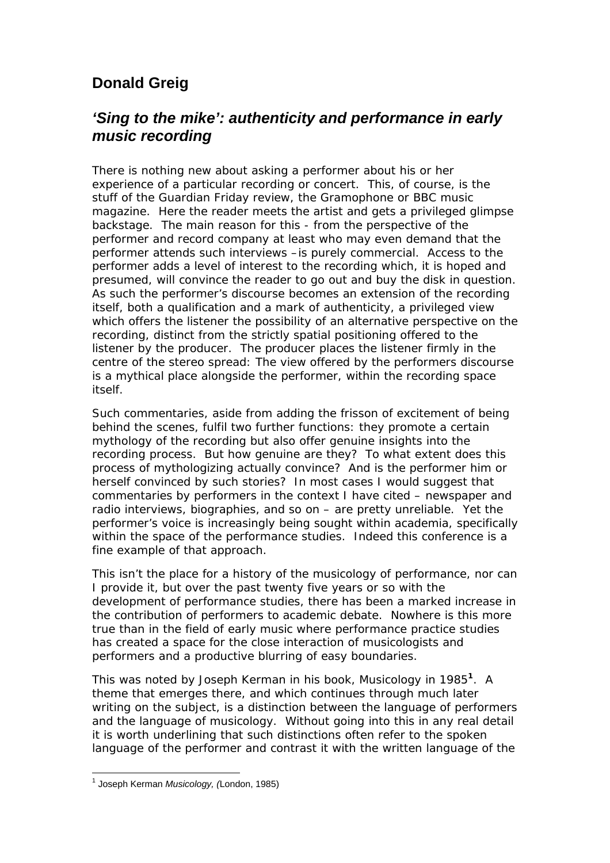## **Donald Greig**

## *'Sing to the mike': authenticity and performance in early music recording*

There is nothing new about asking a performer about his or her experience of a particular recording or concert. This, of course, is the stuff of the Guardian Friday review, the Gramophone or BBC music magazine. Here the reader meets the artist and gets a privileged glimpse backstage. The main reason for this - from the perspective of the performer and record company at least who may even demand that the performer attends such interviews –is purely commercial. Access to the performer adds a level of interest to the recording which, it is hoped and presumed, will convince the reader to go out and buy the disk in question. As such the performer's discourse becomes an extension of the recording itself, both a qualification and a mark of authenticity, a privileged view which offers the listener the possibility of an alternative perspective on the recording, distinct from the strictly spatial positioning offered to the listener by the producer. The producer places the listener firmly in the centre of the stereo spread: The view offered by the performers discourse is a mythical place alongside the performer, within the recording space itself.

Such commentaries, aside from adding the frisson of excitement of being behind the scenes, fulfil two further functions: they promote a certain mythology of the recording but also offer genuine insights into the recording process. But how genuine are they? To what extent does this process of mythologizing actually convince? And is the performer him or herself convinced by such stories? In most cases I would suggest that commentaries by performers in the context I have cited – newspaper and radio interviews, biographies, and so on – are pretty unreliable. Yet the performer's voice is increasingly being sought within academia, specifically within the space of the performance studies. Indeed this conference is a fine example of that approach.

This isn't the place for a history of the musicology of performance, nor can I provide it, but over the past twenty five years or so with the development of performance studies, there has been a marked increase in the contribution of performers to academic debate. Nowhere is this more true than in the field of early music where performance practice studies has created a space for the close interaction of musicologists and performers and a productive blurring of easy boundaries.

This was noted by Joseph Kerman in his book, *Musicology* in 1985**<sup>1</sup>** . A theme that emerges there, and which continues through much later writing on the subject, is a distinction between the language of performers and the language of musicology. Without going into this in any real detail it is worth underlining that such distinctions often refer to the spoken language of the performer and contrast it with the written language of the

 1 Joseph Kerman *Musicology, (*London, 1985)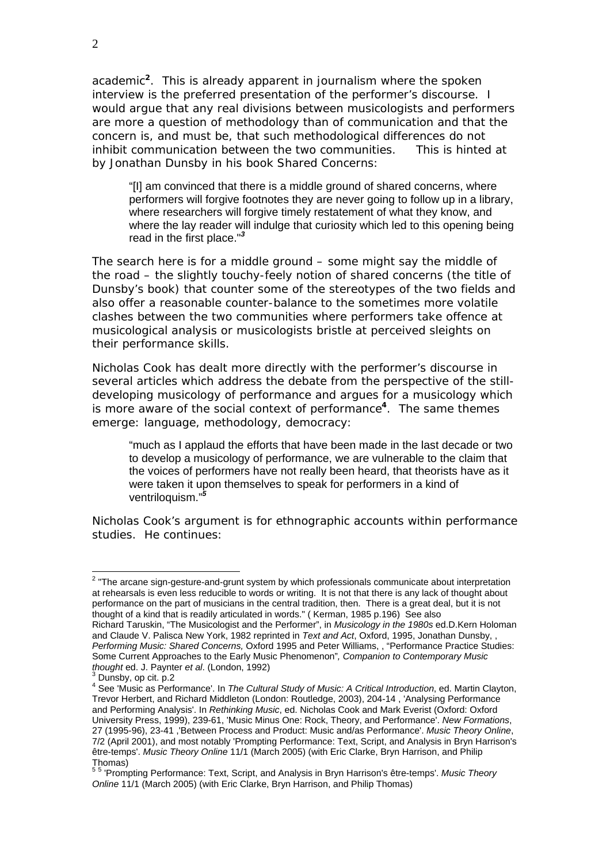academic**<sup>2</sup>**. This is already apparent in journalism where the spoken interview is the preferred presentation of the performer's discourse. I would argue that any real divisions between musicologists and performers are more a question of methodology than of communication and that the concern is, and must be, that such methodological differences do not inhibit communication between the two communities. This is hinted at by Jonathan Dunsby in his book *Shared Concerns:* 

"[I] am convinced that there is a middle ground of shared concerns, where performers will forgive footnotes they are never going to follow up in a library, where researchers will forgive timely restatement of what they know, and where the lay reader will indulge that curiosity which led to this opening being read in the first place."*<sup>3</sup>*

The search here is for a middle ground – some might say the middle of the road – the slightly touchy-feely notion of shared concerns (the title of Dunsby's book) that counter some of the stereotypes of the two fields and also offer a reasonable counter-balance to the sometimes more volatile clashes between the two communities where performers take offence at musicological analysis or musicologists bristle at perceived sleights on their performance skills.

Nicholas Cook has dealt more directly with the performer's discourse in several articles which address the debate from the perspective of the stilldeveloping musicology of performance and argues for a musicology which is more aware of the social context of performance**<sup>4</sup>** . The same themes emerge: language, methodology, democracy:

"much as I applaud the efforts that have been made in the last decade or two to develop a musicology of performance, we are vulnerable to the claim that the voices of performers have not really been heard, that theorists have as it were taken it upon themselves to speak for performers in a kind of ventriloquism."*<sup>5</sup>*

Nicholas Cook's argument is for ethnographic accounts within performance studies. He continues:

<sup>&</sup>lt;u>2</u><br><sup>2</sup> "The arcane sign-gesture-and-grunt system by which professionals communicate about interpretation at rehearsals is even less reducible to words or writing. It is not that there is any lack of thought about performance on the part of musicians in the central tradition, then. There is a great deal, but it is not thought of a kind that is readily articulated in words." ( Kerman, 1985 p.196) See also Richard Taruskin, "The Musicologist and the Performer", in *Musicology in the 1980s* ed.D.Kern Holoman and Claude V. Palisca New York, 1982 reprinted in *Text and Act*, Oxford, 1995, Jonathan Dunsby, , *Performing Music: Shared Concerns,* Oxford 1995 and Peter Williams, , "Performance Practice Studies: Some Current Approaches to the Early Music Phenomenon"*, Companion to Contemporary Music thought* ed. J. Paynter *et al.* (London, 1992)

 $3$  Dunsby, op cit. p.2

<sup>4</sup> See 'Music as Performance'. In *The Cultural Study of Music: A Critical Introduction*, ed. Martin Clayton, Trevor Herbert, and Richard Middleton (London: Routledge, 2003), 204-14 , 'Analysing Performance and Performing Analysis'. In *Rethinking Music*, ed. Nicholas Cook and Mark Everist (Oxford: Oxford University Press, 1999), 239-61, 'Music Minus One: Rock, Theory, and Performance'. *New Formations*, 27 (1995-96), 23-41 ,'Between Process and Product: Music and/as Performance'. *Music Theory Online*, 7/2 (April 2001), and most notably 'Prompting Performance: Text, Script, and Analysis in Bryn Harrison's être-temps'. *Music Theory Online* 11/1 (March 2005) (with Eric Clarke, Bryn Harrison, and Philip

Thomas) 5 5 'Prompting Performance: Text, Script, and Analysis in Bryn Harrison's être-temps'. *Music Theory Online* 11/1 (March 2005) (with Eric Clarke, Bryn Harrison, and Philip Thomas)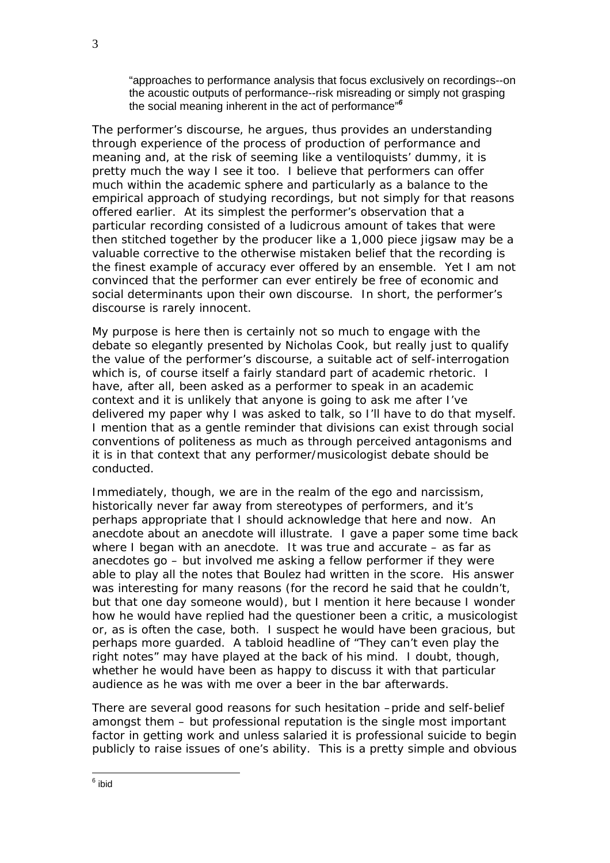"approaches to performance analysis that focus exclusively on recordings--on the acoustic outputs of performance--risk misreading or simply not grasping the social meaning inherent in the act of performance"*<sup>6</sup>*

The performer's discourse, he argues, thus provides an understanding through experience of the process of production of performance and meaning and, at the risk of seeming like a ventiloquists' dummy, it is pretty much the way I see it too. I believe that performers can offer much within the academic sphere and particularly as a balance to the empirical approach of studying recordings, but not simply for that reasons offered earlier. At its simplest the performer's observation that a particular recording consisted of a ludicrous amount of takes that were then stitched together by the producer like a 1,000 piece jigsaw may be a valuable corrective to the otherwise mistaken belief that the recording is the finest example of accuracy ever offered by an ensemble. Yet I am not convinced that the performer can ever entirely be free of economic and social determinants upon their own discourse. In short, the performer's discourse is rarely innocent.

My purpose is here then is certainly not so much to engage with the debate so elegantly presented by Nicholas Cook, but really just to qualify the value of the performer's discourse, a suitable act of self-interrogation which is, of course itself a fairly standard part of academic rhetoric. I have, after all, been asked as a performer to speak in an academic context and it is unlikely that anyone is going to ask me after I've delivered my paper why I was asked to talk, so I'll have to do that myself. I mention that as a gentle reminder that divisions can exist through social conventions of politeness as much as through perceived antagonisms and it is in that context that any performer/musicologist debate should be conducted.

Immediately, though, we are in the realm of the ego and narcissism, historically never far away from stereotypes of performers, and it's perhaps appropriate that I should acknowledge that here and now. An anecdote about an anecdote will illustrate. I gave a paper some time back where I began with an anecdote. It was true and accurate – as far as anecdotes go – but involved me asking a fellow performer if they were able to play all the notes that Boulez had written in the score. His answer was interesting for many reasons (for the record he said that he couldn't, but that one day someone would), but I mention it here because I wonder how he would have replied had the questioner been a critic, a musicologist or, as is often the case, both. I suspect he would have been gracious, but perhaps more guarded. A tabloid headline of "They can't even play the right notes" may have played at the back of his mind. I doubt, though, whether he would have been as happy to discuss it with that particular audience as he was with me over a beer in the bar afterwards.

There are several good reasons for such hesitation –pride and self-belief amongst them – but professional reputation is the single most important factor in getting work and unless salaried it is professional suicide to begin publicly to raise issues of one's ability. This is a pretty simple and obvious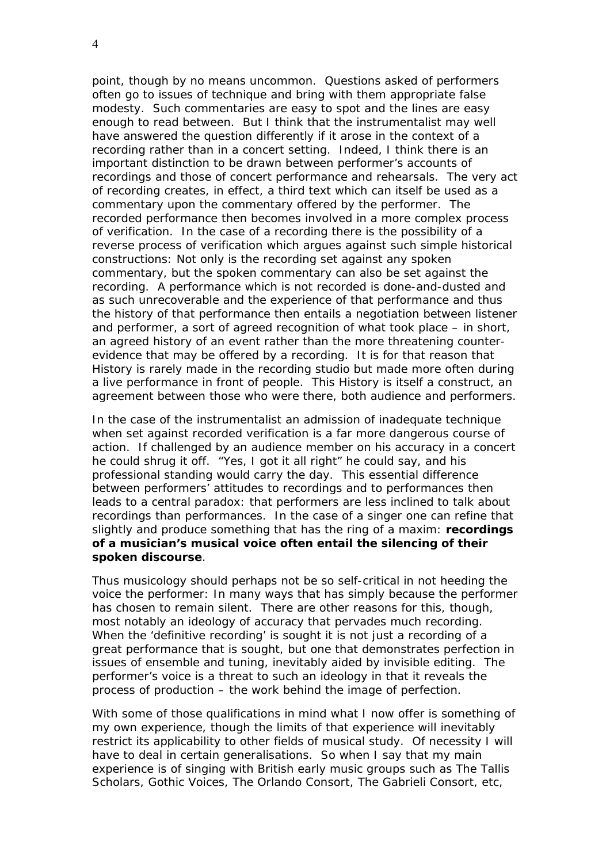point, though by no means uncommon. Questions asked of performers often go to issues of technique and bring with them appropriate false modesty. Such commentaries are easy to spot and the lines are easy enough to read between. But I think that the instrumentalist may well have answered the question differently if it arose in the context of a recording rather than in a concert setting. Indeed, I think there is an important distinction to be drawn between performer's accounts of recordings and those of concert performance and rehearsals. The very act of recording creates, in effect, a third text which can itself be used as a commentary upon the commentary offered by the performer. The recorded performance then becomes involved in a more complex process of verification. In the case of a recording there is the possibility of a reverse process of verification which argues against such simple historical constructions: Not only is the recording set against any spoken commentary, but the spoken commentary can also be set against the recording. A performance which is not recorded is done-and-dusted and as such unrecoverable and the experience of that performance and thus the history of that performance then entails a negotiation between listener and performer, a sort of agreed recognition of what took place – in short, an agreed history of an event rather than the more threatening counterevidence that may be offered by a recording. It is for that reason that History is rarely made in the recording studio but made more often during a live performance in front of people. This History is itself a construct, an agreement between those who were there, both audience and performers.

In the case of the instrumentalist an admission of inadequate technique when set against recorded verification is a far more dangerous course of action. If challenged by an audience member on his accuracy in a concert he could shrug it off. "Yes, I got it all right" he could say, and his professional standing would carry the day. This essential difference between performers' attitudes to recordings and to performances then leads to a central paradox: that performers are less inclined to talk about recordings than performances. In the case of a singer one can refine that slightly and produce something that has the ring of a maxim: **recordings of a musician's musical voice often entail the silencing of their spoken discourse**.

Thus musicology should perhaps not be so self-critical in not heeding the voice the performer: In many ways that has simply because the performer has chosen to remain silent. There are other reasons for this, though, most notably an ideology of accuracy that pervades much recording. When the 'definitive recording' is sought it is not just a recording of a great performance that is sought, but one that demonstrates perfection in issues of ensemble and tuning, inevitably aided by invisible editing. The performer's voice is a threat to such an ideology in that it reveals the process of production – the work behind the image of perfection.

With some of those qualifications in mind what I now offer is something of my own experience, though the limits of that experience will inevitably restrict its applicability to other fields of musical study. Of necessity I will have to deal in certain generalisations. So when I say that my main experience is of singing with British early music groups such as The Tallis Scholars, Gothic Voices, The Orlando Consort, The Gabrieli Consort, etc,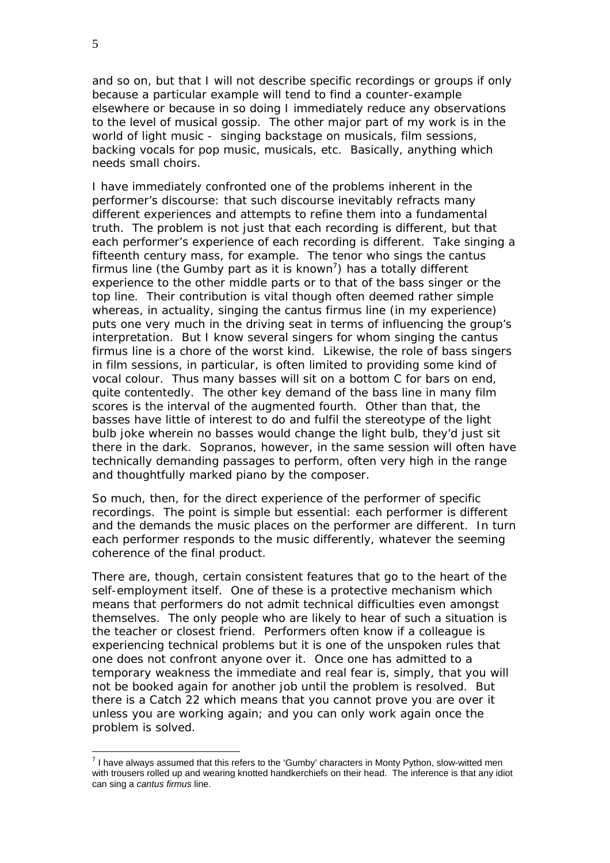and so on, but that I will not describe specific recordings or groups if only because a particular example will tend to find a counter-example elsewhere or because in so doing I immediately reduce any observations to the level of musical gossip. The other major part of my work is in the world of light music - singing backstage on musicals, film sessions, backing vocals for pop music, musicals, etc. Basically, anything which needs small choirs.

I have immediately confronted one of the problems inherent in the performer's discourse: that such discourse inevitably refracts many different experiences and attempts to refine them into a fundamental truth. The problem is not just that each recording is different, but that each performer's experience of each recording is different. Take singing a fifteenth century mass, for example. The tenor who sings the *cantus*  firmus line (the Gumby part as it is known<sup>7</sup>) has a totally different experience to the other middle parts or to that of the bass singer or the top line. Their contribution is vital though often deemed rather simple whereas, in actuality, singing the *cantus firmus* line (in my experience) puts one very much in the driving seat in terms of influencing the group's interpretation. But I know several singers for whom singing the *cantus firmus* line is a chore of the worst kind. Likewise, the role of bass singers in film sessions, in particular, is often limited to providing some kind of vocal colour. Thus many basses will sit on a bottom C for bars on end, quite contentedly. The other key demand of the bass line in many film scores is the interval of the augmented fourth. Other than that, the basses have little of interest to do and fulfil the stereotype of the light bulb joke wherein no basses would change the light bulb, they'd just sit there in the dark. Sopranos, however, in the same session will often have technically demanding passages to perform, often very high in the range and thoughtfully marked *piano* by the composer.

So much, then, for the direct experience of the performer of specific recordings. The point is simple but essential: each performer is different and the demands the music places on the performer are different. In turn each performer responds to the music differently, whatever the seeming coherence of the final product.

There are, though, certain consistent features that go to the heart of the self-employment itself. One of these is a protective mechanism which means that performers do not admit technical difficulties even amongst themselves. The only people who are likely to hear of such a situation is the teacher or closest friend. Performers often know if a colleague is experiencing technical problems but it is one of the unspoken rules that one does not confront anyone over it. Once one has admitted to a temporary weakness the immediate and real fear is, simply, that you will not be booked again for another job until the problem is resolved. But there is a *Catch 22* which means that you cannot prove you are over it unless you are working again; and you can only work again once the problem is solved.

 $\overline{a}$ 

 $<sup>7</sup>$  I have always assumed that this refers to the 'Gumby' characters in Monty Python, slow-witted men</sup> with trousers rolled up and wearing knotted handkerchiefs on their head. The inference is that any idiot can sing a *cantus firmus* line.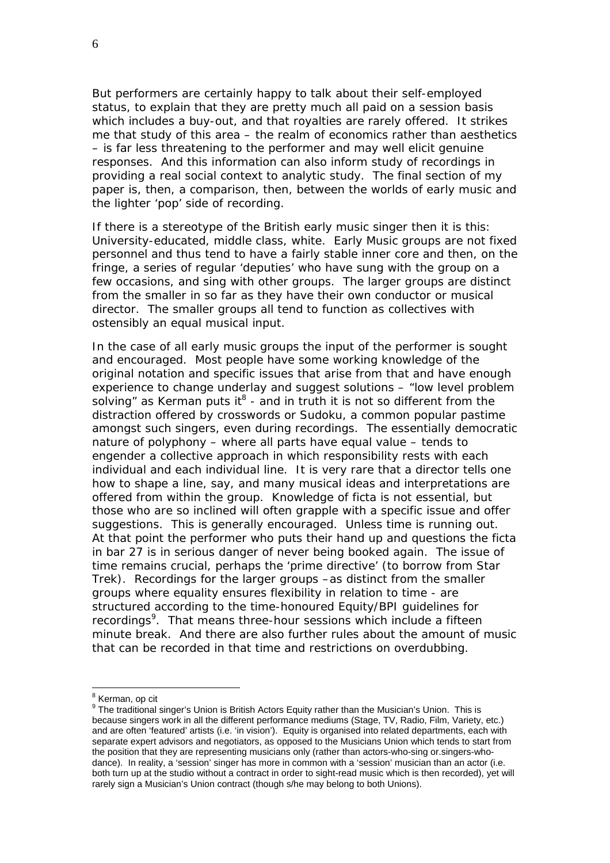But performers are certainly happy to talk about their self-employed status, to explain that they are pretty much all paid on a session basis which includes a buy-out, and that royalties are rarely offered. It strikes me that study of this area – the realm of economics rather than aesthetics – is far less threatening to the performer and may well elicit genuine responses. And this information can also inform study of recordings in providing a real social context to analytic study. The final section of my paper is, then, a comparison, then, between the worlds of early music and the lighter 'pop' side of recording.

If there is a stereotype of the British early music singer then it is this: University-educated, middle class, white. Early Music groups are not fixed personnel and thus tend to have a fairly stable inner core and then, on the fringe, a series of regular 'deputies' who have sung with the group on a few occasions, and sing with other groups. The larger groups are distinct from the smaller in so far as they have their own conductor or musical director. The smaller groups all tend to function as collectives with ostensibly an equal musical input.

In the case of all early music groups the input of the performer is sought and encouraged. Most people have some working knowledge of the original notation and specific issues that arise from that and have enough experience to change underlay and suggest solutions – "low level problem solving" as Kerman puts it<sup>8</sup> - and in truth it is not so different from the distraction offered by crosswords or Sudoku, a common popular pastime amongst such singers, even during recordings. The essentially democratic nature of polyphony – where all parts have equal value – tends to engender a collective approach in which responsibility rests with each individual and each individual line. It is very rare that a director tells one how to shape a line, say, and many musical ideas and interpretations are offered from within the group. Knowledge of ficta is not essential, but those who are so inclined will often grapple with a specific issue and offer suggestions. This is generally encouraged. Unless time is running out. At that point the performer who puts their hand up and questions the ficta in bar 27 is in serious danger of never being booked again. The issue of time remains crucial, perhaps the 'prime directive' (to borrow from *Star Trek*). Recordings for the larger groups –as distinct from the smaller groups where equality ensures flexibility in relation to time - are structured according to the time-honoured Equity/BPI guidelines for recordings<sup>9</sup>. That means three-hour sessions which include a fifteen minute break. And there are also further rules about the amount of music that can be recorded in that time and restrictions on overdubbing.

<sup>&</sup>lt;sup>8</sup> Kerman, op cit

 $9$  The traditional singer's Union is British Actors Equity rather than the Musician's Union. This is because singers work in all the different performance mediums (Stage, TV, Radio, Film, Variety, etc.) and are often 'featured' artists (i.e. 'in vision'). Equity is organised into related departments, each with separate expert advisors and negotiators, as opposed to the Musicians Union which tends to start from the position that they are representing musicians only (rather than actors-who-sing or.singers-whodance). In reality, a 'session' singer has more in common with a 'session' musician than an actor (i.e. both turn up at the studio without a contract in order to sight-read music which is then recorded), yet will rarely sign a Musician's Union contract (though s/he may belong to both Unions).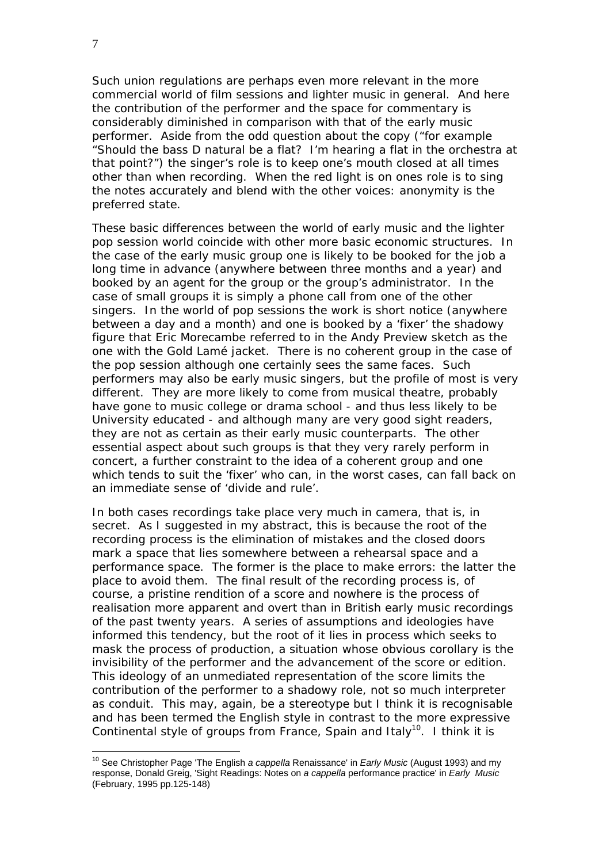Such union regulations are perhaps even more relevant in the more commercial world of film sessions and lighter music in general. And here the contribution of the performer and the space for commentary is considerably diminished in comparison with that of the early music performer. Aside from the odd question about the copy ("for example "Should the bass D natural be a flat? I'm hearing a flat in the orchestra at that point?") the singer's role is to keep one's mouth closed at all times other than when recording. When the red light is on ones role is to sing the notes accurately and blend with the other voices: anonymity is the preferred state.

These basic differences between the world of early music and the lighter pop session world coincide with other more basic economic structures. In the case of the early music group one is likely to be booked for the job a long time in advance (anywhere between three months and a year) and booked by an agent for the group or the group's administrator. In the case of small groups it is simply a phone call from one of the other singers. In the world of pop sessions the work is short notice (anywhere between a day and a month) and one is booked by a 'fixer' the shadowy figure that Eric Morecambe referred to in the Andy Preview sketch as the one with the Gold Lamé jacket. There is no coherent group in the case of the pop session although one certainly sees the same faces. Such performers may also be early music singers, but the profile of most is very different. They are more likely to come from musical theatre, probably have gone to music college or drama school - and thus less likely to be University educated - and although many are very good sight readers, they are not as certain as their early music counterparts. The other essential aspect about such groups is that they very rarely perform in concert, a further constraint to the idea of a coherent group and one which tends to suit the 'fixer' who can, in the worst cases, can fall back on an immediate sense of 'divide and rule'.

In both cases recordings take place very much *in camera*, that is, in secret. As I suggested in my abstract, this is because the root of the recording process is the elimination of mistakes and the closed doors mark a space that lies somewhere between a rehearsal space and a performance space. The former is the place to make errors: the latter the place to avoid them. The final result of the recording process is, of course, a pristine rendition of a score and nowhere is the process of realisation more apparent and overt than in British early music recordings of the past twenty years. A series of assumptions and ideologies have informed this tendency, but the root of it lies in process which seeks to mask the process of production, a situation whose obvious corollary is the invisibility of the performer and the advancement of the score or edition. This ideology of an unmediated representation of the score limits the contribution of the performer to a shadowy role, not so much interpreter as conduit. This may, again, be a stereotype but I think it is recognisable and has been termed the English style in contrast to the more expressive Continental style of groups from France, Spain and Italy<sup>10</sup>. I think it is

 $\overline{a}$ 

<sup>10</sup> See Christopher Page 'The English *a cappella* Renaissance' in *Early Music* (August 1993) and my response, Donald Greig, 'Sight Readings: Notes on *a cappella* performance practice' in *Early Music*  (February, 1995 pp.125-148)